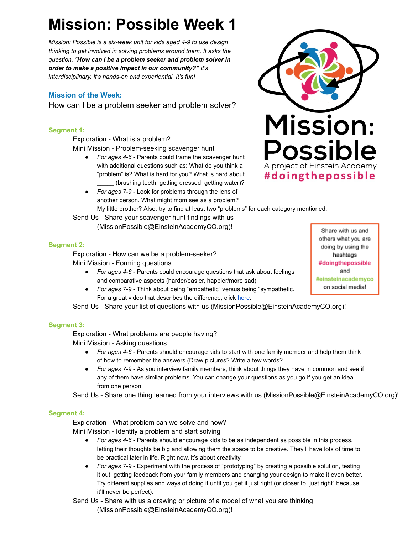# **Mission: Possible Week 1**

*Mission: Possible is a six-week unit for kids aged 4-9 to use design thinking to get involved in solving problems around them. It asks the question, " How can I be a problem seeker and problem solver in order to make a positive impact in our community?" It's interdisciplinary. It's hands-on and experiential. It's fun!* 

# **Mission of the Week:**

How can I be a problem seeker and problem solver?

## **Segment 1:**

Exploration - What is a problem? Mini Mission - Problem-seeking scavenger hunt

- *For ages 4-6*  Parents could frame the scavenger hunt with additional questions such as: What do you think a "problem" is? What is hard for you? What is hard about (brushing teeth, getting dressed, getting water)?
- *For ages 7-9*  Look for problems through the lens of another person. What might mom see as a problem? My little brother? Also, try to find at least two "problems" for each category mentioned.

Send Us - Share your scavenger hunt findings with us

(MissionPossible@EinsteinAcademyCO.org)!



Share with us and others what you are doing by using the hashtags #doingthepossible and #einsteinacademyco on social media!

#### **Segment 2:**

Exploration - How can we be a problem-seeker? Mini Mission - Forming questions

- *For ages 4-6*  Parents could encourage questions that ask about feelings and comparative aspects (harder/easier, happier/more sad).
- *For ages 7-9*  Think about being "empathetic" versus being "sympathetic. For a great video that describes the difference, click [here](https://www.youtube.com/watch?v=1Evwgu369Jw).

Send Us - Share your list of questions with us (MissionPossible@EinsteinAcademyCO.org)!

### **Segment 3:**

Exploration - What problems are people having? Mini Mission - Asking questions

- *For ages 4-6*  Parents should encourage kids to start with one family member and help them think of how to remember the answers (Draw pictures? Write a few words?
- *For ages 7-9*  As you interview family members, think about things they have in common and see if any of them have similar problems. You can change your questions as you go if you get an idea from one person.

Send Us - Share one thing learned from your interviews with us (MissionPossible@EinsteinAcademyCO.org)!

### **Segment 4:**

Exploration - What problem can we solve and how? Mini Mission - Identify a problem and start solving

- *For ages 4-6 Parents should encourage kids to be as independent as possible in this process,* letting their thoughts be big and allowing them the space to be creative. They'll have lots of time to be practical later in life. Right now, it's about creativity.
- *For ages 7-9*  Experiment with the process of "prototyping" by creating a possible solution, testing it out, getting feedback from your family members and changing your design to make it even better. Try different supplies and ways of doing it until you get it just right (or closer to "just right" because it'll never be perfect).

Send Us - Share with us a drawing or picture of a model of what you are thinking (MissionPossible@EinsteinAcademyCO.org)!